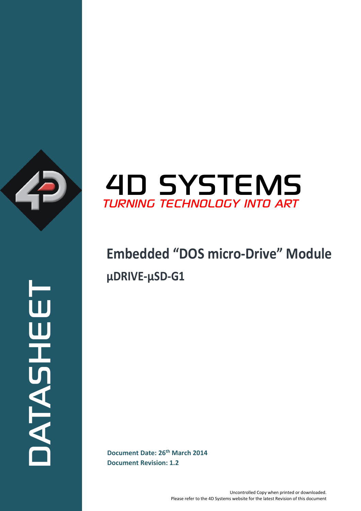

ATASHEET



# **Embedded "DOS micro-Drive" Module μDRIVE-μSD-G1**

**Document Date: 26<sup>th</sup> March 2014 Document Revision: 1.2**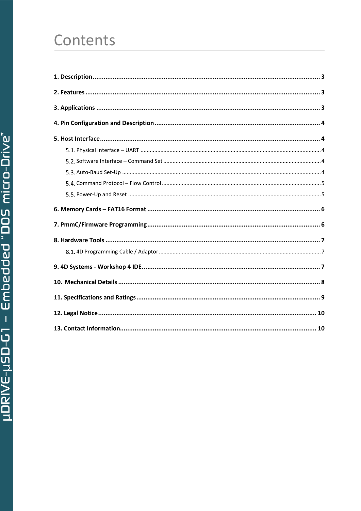# Contents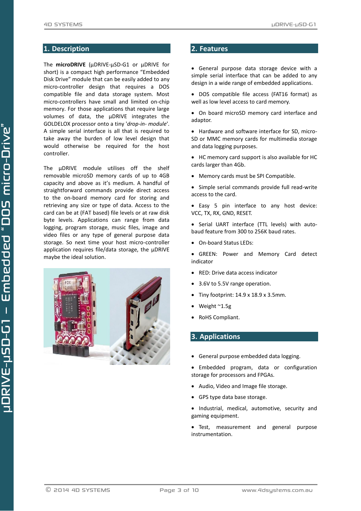## <span id="page-2-0"></span>**1. Description**

The **microDRIVE** (μDRIVE-μSD-G1 or μDRIVE for short) is a compact high performance "Embedded Disk Drive" module that can be easily added to any micro-controller design that requires a DOS compatible file and data storage system. Most micro-controllers have small and limited on-chip memory. For those applications that require large volumes of data, the μDRIVE integrates the GOLDELOX processor onto a tiny '*drop-in- module*'. A simple serial interface is all that is required to take away the burden of low level design that would otherwise be required for the host controller.

The μDRIVE module utilises off the shelf removable microSD memory cards of up to 4GB capacity and above as it's medium. A handful of straightforward commands provide direct access to the on-board memory card for storing and retrieving any size or type of data. Access to the card can be at (FAT based) file levels or at raw disk byte levels. Applications can range from data logging, program storage, music files, image and video files or any type of general purpose data storage. So next time your host micro-controller application requires file/data storage, the μDRIVE maybe the ideal solution.



### <span id="page-2-1"></span>**2. Features**

 General purpose data storage device with a simple serial interface that can be added to any design in a wide range of embedded applications.

- DOS compatible file access (FAT16 format) as well as low level access to card memory.
- On board microSD memory card interface and adaptor.
- Hardware and software interface for SD, micro-SD or MMC memory cards for multimedia storage and data logging purposes.
- HC memory card support is also available for HC cards larger than 4Gb.
- Memory cards must be SPI Compatible.
- Simple serial commands provide full read-write access to the card.
- Easy 5 pin interface to any host device: VCC, TX, RX, GND, RESET.
- Serial UART interface (TTL levels) with autobaud feature from 300 to 256K baud rates.
- On-board Status LEDs:
- GREEN: Power and Memory Card detect indicator
- RED: Drive data access indicator
- 3.6V to 5.5V range operation.
- $\bullet$  Tiny footprint: 14.9 x 18.9 x 3.5mm.
- Weight ~1.5g
- RoHS Compliant.

### <span id="page-2-2"></span>**3. Applications**

- General purpose embedded data logging.
- Embedded program, data or configuration storage for processors and FPGAs.
- Audio, Video and Image file storage.
- GPS type data base storage.
- Industrial, medical, automotive, security and gaming equipment.
- Test, measurement and general purpose instrumentation.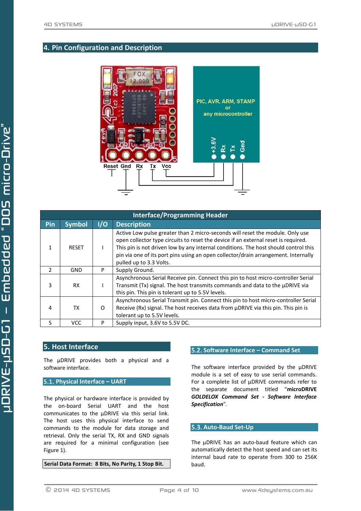## <span id="page-3-0"></span>**4. Pin Configuration and Description**



| <b>Interface/Programming Header</b> |               |     |                                                                                                                                                                                                                                                                                                                                                                             |  |  |  |  |
|-------------------------------------|---------------|-----|-----------------------------------------------------------------------------------------------------------------------------------------------------------------------------------------------------------------------------------------------------------------------------------------------------------------------------------------------------------------------------|--|--|--|--|
| Pin                                 | <b>Symbol</b> | 1/0 | <b>Description</b>                                                                                                                                                                                                                                                                                                                                                          |  |  |  |  |
| 1                                   | <b>RESET</b>  |     | Active Low pulse greater than 2 micro-seconds will reset the module. Only use<br>open collector type circuits to reset the device if an external reset is required.<br>This pin is not driven low by any internal conditions. The host should control this<br>pin via one of its port pins using an open collector/drain arrangement. Internally<br>pulled up to 3.3 Volts. |  |  |  |  |
| $\mathcal{L}$                       | GND           | P   | Supply Ground.                                                                                                                                                                                                                                                                                                                                                              |  |  |  |  |
| 3                                   | <b>RX</b>     |     | Asynchronous Serial Receive pin. Connect this pin to host micro-controller Serial<br>Transmit (Tx) signal. The host transmits commands and data to the µDRIVE via<br>this pin. This pin is tolerant up to 5.5V levels.                                                                                                                                                      |  |  |  |  |
| 4                                   | <b>TX</b>     | O   | Asynchronous Serial Transmit pin. Connect this pin to host micro-controller Serial<br>Receive (Rx) signal. The host receives data from µDRIVE via this pin. This pin is<br>tolerant up to 5.5V levels.                                                                                                                                                                      |  |  |  |  |
| 5.                                  | <b>VCC</b>    | P   | Supply input, 3.6V to 5.5V DC.                                                                                                                                                                                                                                                                                                                                              |  |  |  |  |

## <span id="page-3-1"></span>**5. Host Interface**

The μDRIVE provides both a physical and a software interface.

## <span id="page-3-2"></span>**Physical Interface – UART**

The physical or hardware interface is provided by the on-board Serial UART and the host communicates to the μDRIVE via this serial link. The host uses this physical interface to send commands to the module for data storage and retrieval. Only the serial TX, RX and GND signals are required for a minimal configuration (see Figure 1).

**Serial Data Format: 8 Bits, No Parity, 1 Stop Bit.**

#### <span id="page-3-3"></span>**Software Interface – Command Set**

The software interface provided by the μDRIVE module is a set of easy to use serial commands. For a complete list of μDRIVE commands refer to the separate document titled "**microDRIVE** *GOLDELOX Command Set - Software Interface Specification*".

#### <span id="page-3-4"></span>**5.3. Auto-Baud Set-Up**

The μDRIVE has an auto-baud feature which can automatically detect the host speed and can set its internal baud rate to operate from 300 to 256K baud.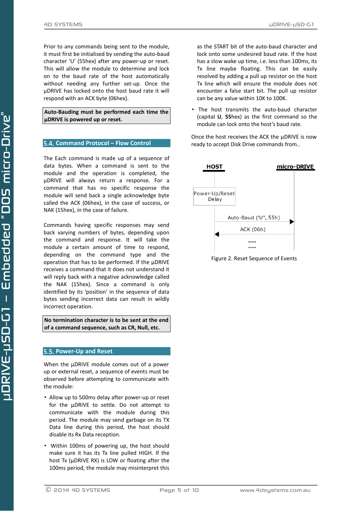Prior to any commands being sent to the module, it must first be initialised by sending the auto-baud character 'U' (55hex) after any power-up or reset. This will allow the module to determine and lock on to the baud rate of the host automatically without needing any further set-up. Once the μDRIVE has locked onto the host baud rate it will respond with an ACK byte (06hex).

#### **Auto-Bauding must be performed each time the μDRIVE is powered up or reset.**

#### <span id="page-4-0"></span>**Command Protocol – Flow Control**

The Each command is made up of a sequence of data bytes. When a command is sent to the module and the operation is completed, the μDRIVE will always return a response. For a command that has no specific response the module will send back a single acknowledge byte called the ACK (06hex), in the case of success, or NAK (15hex), in the case of failure.

Commands having specific responses may send back varying numbers of bytes, depending upon the command and response. It will take the module a certain amount of time to respond, depending on the command type and the operation that has to be performed. If the μDRIVE receives a command that it does not understand it will reply back with a negative acknowledge called the NAK (15hex). Since a command is only identified by its ʻposition' in the sequence of data bytes sending incorrect data can result in wildly incorrect operation.

**No termination character is to be sent at the end of a command sequence, such as CR, Null, etc.**

#### <span id="page-4-1"></span>**Power-Up and Reset**

When the μDRIVE module comes out of a power up or external reset, a sequence of events must be observed before attempting to communicate with the module:

- Allow up to 500ms delay after power-up or reset for the μDRIVE to settle. Do not attempt to communicate with the module during this period. The module may send garbage on its TX Data line during this period, the host should disable its Rx Data reception.
- Within 100ms of powering up, the host should make sure it has its Tx line pulled HIGH. If the host Tx (μDRIVE RX) is LOW or floating after the 100ms period, the module may misinterpret this

as the START bit of the auto-baud character and lock onto some undesired baud rate. If the host has a slow wake up time, i.e. less than 100ms, its Tx line maybe floating. This can be easily resolved by adding a pull up resistor on the host Tx line which will ensure the module does not encounter a false start bit. The pull up resistor can be any value within 10K to 100K.

• The host transmits the auto-baud character (capital **U**, **55**hex) as the first command so the module can lock onto the host's baud rate.

Once the host receives the ACK the μDRIVE is now ready to accept Disk Drive commands from..



Figure 2. Reset Sequence of Events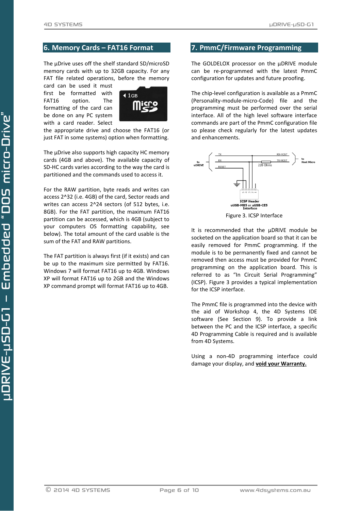## <span id="page-5-0"></span>**6. Memory Cards – FAT16 Format**

The μDrive uses off the shelf standard SD/microSD memory cards with up to 32GB capacity. For any FAT file related operations, before the memory

card can be used it must first be formatted with FAT16 option. The formatting of the card can be done on any PC system with a card reader. Select



the appropriate drive and choose the FAT16 (or just FAT in some systems) option when formatting.

The μDrive also supports high capacity HC memory cards (4GB and above). The available capacity of SD-HC cards varies according to the way the card is partitioned and the commands used to access it.

For the RAW partition, byte reads and writes can access 2^32 (i.e. 4GB) of the card, Sector reads and writes can access 2^24 sectors (of 512 bytes, i.e. 8GB). For the FAT partition, the maximum FAT16 partition can be accessed, which is 4GB (subject to your computers OS formatting capability, see below). The total amount of the card usable is the sum of the FAT and RAW partitions.

The FAT partition is always first (if it exists) and can be up to the maximum size permitted by FAT16. Windows 7 will format FAT16 up to 4GB. Windows XP will format FAT16 up to 2GB and the Windows XP command prompt will format FAT16 up to 4GB.

## <span id="page-5-1"></span>**7. PmmC/Firmware Programming**

The GOLDELOX processor on the μDRIVE module can be re-programmed with the latest PmmC configuration for updates and future proofing.

The chip-level configuration is available as a PmmC (Personality-module-micro-Code) file and the programming must be performed over the serial interface. All of the high level software interface commands are part of the PmmC configuration file so please check regularly for the latest updates and enhancements.



It is recommended that the μDRIVE module be socketed on the application board so that it can be easily removed for PmmC programming. If the module is to be permanently fixed and cannot be removed then access must be provided for PmmC programming on the application board. This is referred to as "In Circuit Serial Programming" (ICSP). Figure 3 provides a typical implementation for the ICSP interface.

The PmmC file is programmed into the device with the aid of Workshop 4, the 4D Systems IDE software (See Section 9). To provide a link between the PC and the ICSP interface, a specific 4D Programming Cable is required and is available from 4D Systems.

Using a non-4D programming interface could damage your display, and **void your Warranty.**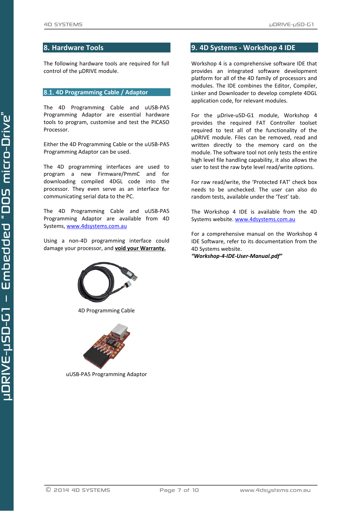#### <span id="page-6-0"></span>**8. Hardware Tools**

The following hardware tools are required for full control of the μDRIVE module.

#### <span id="page-6-1"></span>**4D Programming Cable / Adaptor**

The 4D Programming Cable and uUSB-PA5 Programming Adaptor are essential hardware tools to program, customise and test the PICASO Processor.

Either the 4D Programming Cable or the uUSB-PA5 Programming Adaptor can be used.

The 4D programming interfaces are used to program a new Firmware/PmmC and for downloading compiled 4DGL code into the processor. They even serve as an interface for communicating serial data to the PC.

The 4D Programming Cable and uUSB-PA5 Programming Adaptor are available from 4D Systems, [www.4dsystems.com.au](file:///C:/Users/James/Dropbox/4D%20Projects/Documentation/uLCD-32WPTu%20Datasheet/www.4dsystems.com.au)

Using a non-4D programming interface could damage your processor, and **void your Warranty.**



4D Programming Cable



uUSB-PA5 Programming Adaptor

## <span id="page-6-2"></span>**9. 4D Systems - Workshop 4 IDE**

Workshop 4 is a comprehensive software IDE that provides an integrated software development platform for all of the 4D family of processors and modules. The IDE combines the Editor, Compiler, Linker and Downloader to develop complete 4DGL application code, for relevant modules.

For the μDrive-uSD-G1 module, Workshop 4 provides the required FAT Controller toolset required to test all of the functionality of the μDRIVE module. Files can be removed, read and written directly to the memory card on the module. The software tool not only tests the entire high level file handling capability, it also allows the user to test the raw byte level read/write options.

For raw read/write, the 'Protected FAT' check box needs to be unchecked. The user can also do random tests, available under the 'Test' tab.

The Workshop 4 IDE is available from the 4D Systems website. [www.4dsystems.com.au](file:///C:/Users/James/Dropbox/4D%20Projects/Documentation/uLCD-32WPTu%20Datasheet/www.4dsystems.com.au)

For a comprehensive manual on the Workshop 4 IDE Software, refer to its documentation from the 4D Systems website.

*"Workshop-4-IDE-User-Manual.pdf"*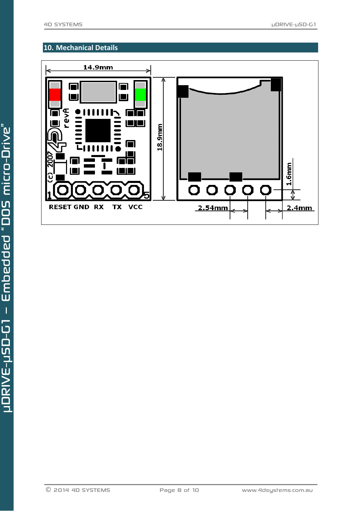## <span id="page-7-0"></span>**10. Mechanical Details**

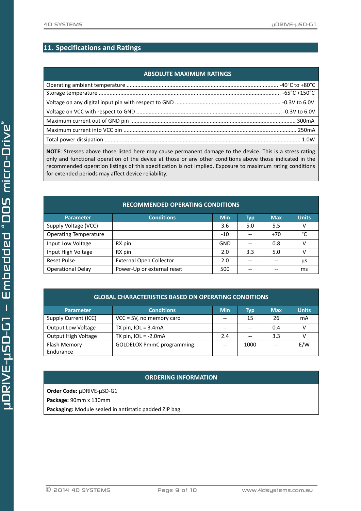## <span id="page-8-0"></span>**11. Specifications and Ratings**

### **ABSOLUTE MAXIMUM RATINGS**

**NOTE**: Stresses above those listed here may cause permanent damage to the device. This is a stress rating only and functional operation of the device at those or any other conditions above those indicated in the recommended operation listings of this specification is not implied. Exposure to maximum rating conditions for extended periods may affect device reliability.

| <b>RECOMMENDED OPERATING CONDITIONS</b> |                                |            |            |            |              |  |  |  |
|-----------------------------------------|--------------------------------|------------|------------|------------|--------------|--|--|--|
| <b>Parameter</b>                        | <b>Conditions</b>              | <b>Min</b> | <b>Typ</b> | <b>Max</b> | <b>Units</b> |  |  |  |
| Supply Voltage (VCC)                    |                                | 3.6        | 5.0        | 5.5        | v            |  |  |  |
| <b>Operating Temperature</b>            |                                | $-10$      |            | $+70$      | °C           |  |  |  |
| Input Low Voltage                       | RX pin                         | GND        |            | 0.8        | v            |  |  |  |
| Input High Voltage                      | RX pin                         | 2.0        | 3.3        | 5.0        | v            |  |  |  |
| Reset Pulse                             | <b>External Open Collector</b> | 2.0        |            |            | μs           |  |  |  |
| <b>Operational Delay</b>                | Power-Up or external reset     | 500        |            |            | ms           |  |  |  |

| Parameter                 | <b>Conditions</b>           | <b>Min</b> | Typ   | <b>Max</b> | <b>Units</b> |
|---------------------------|-----------------------------|------------|-------|------------|--------------|
| Supply Current (ICC)      | $VCC = 5V$ , no memory card | $-$        | 15    | 26         | mA           |
| <b>Output Low Voltage</b> | TX pin, $IOL = 3.4mA$       | $- -$      |       | 0.4        |              |
| Output High Voltage       | TX pin, $IOL = -2.0mA$      | 2.4        | $- -$ | 3.3        |              |
| Flash Memory              | GOLDELOX PmmC programming.  | $-$        | 1000  |            | E/W          |
| Endurance                 |                             |            |       |            |              |

### **ORDERING INFORMATION**

**Order Code:** μDRIVE-μSD-G1

**Package:** 90mm x 130mm

**Packaging:** Module sealed in antistatic padded ZIP bag.